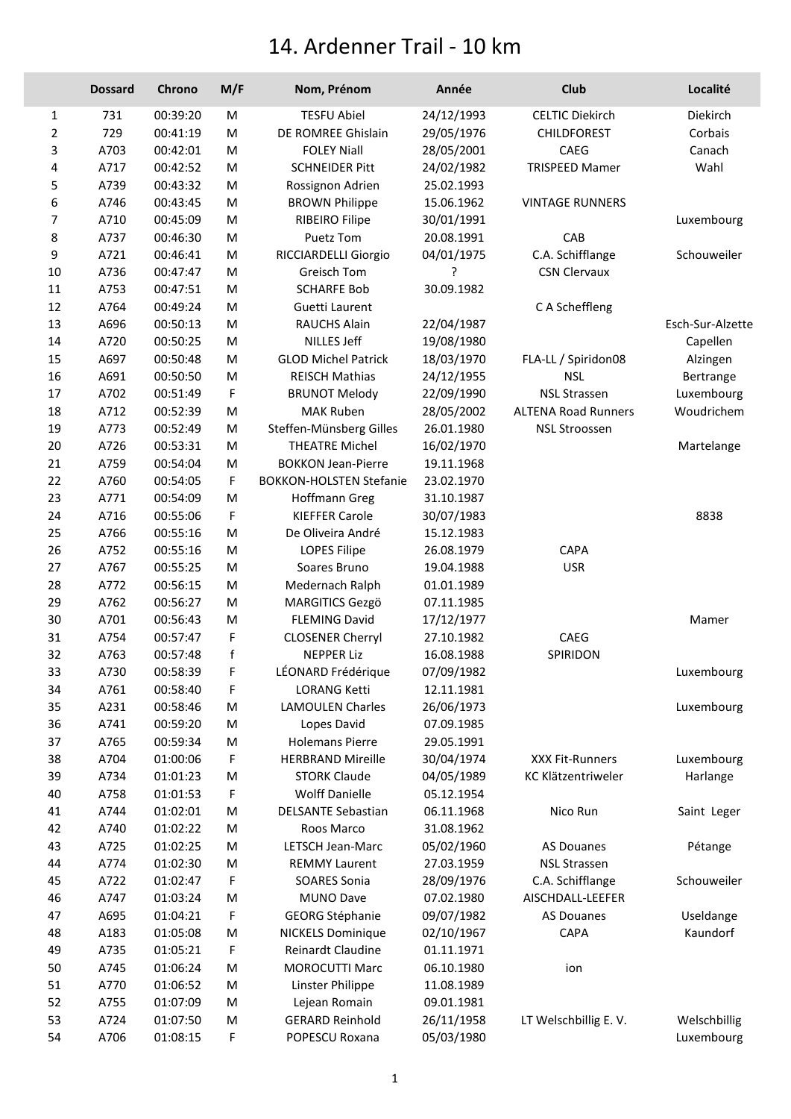## 14. Ardenner Trail - 10 km

|        | <b>Dossard</b> | Chrono   | M/F | Nom, Prénom                    | Année      | Club                       | Localité         |
|--------|----------------|----------|-----|--------------------------------|------------|----------------------------|------------------|
| 1      | 731            | 00:39:20 | M   | <b>TESFU Abiel</b>             | 24/12/1993 | <b>CELTIC Diekirch</b>     | Diekirch         |
| 2      | 729            | 00:41:19 | M   | DE ROMREE Ghislain             | 29/05/1976 | <b>CHILDFOREST</b>         | Corbais          |
| 3      | A703           | 00:42:01 | M   | <b>FOLEY Niall</b>             | 28/05/2001 | CAEG                       | Canach           |
| 4      | A717           | 00:42:52 | M   | <b>SCHNEIDER Pitt</b>          | 24/02/1982 | <b>TRISPEED Mamer</b>      | Wahl             |
| 5      | A739           | 00:43:32 | M   | Rossignon Adrien               | 25.02.1993 |                            |                  |
| 6      | A746           | 00:43:45 | M   | <b>BROWN Philippe</b>          | 15.06.1962 | <b>VINTAGE RUNNERS</b>     |                  |
| 7      | A710           | 00:45:09 | M   | <b>RIBEIRO Filipe</b>          | 30/01/1991 |                            | Luxembourg       |
| 8      | A737           | 00:46:30 | M   | Puetz Tom                      | 20.08.1991 | CAB                        |                  |
| 9      | A721           | 00:46:41 | M   | RICCIARDELLI Giorgio           | 04/01/1975 | C.A. Schifflange           | Schouweiler      |
| 10     | A736           | 00:47:47 | M   | Greisch Tom                    | 5          | <b>CSN Clervaux</b>        |                  |
| $11\,$ | A753           | 00:47:51 | M   | <b>SCHARFE Bob</b>             | 30.09.1982 |                            |                  |
| 12     | A764           | 00:49:24 | M   | Guetti Laurent                 |            | C A Scheffleng             |                  |
| 13     | A696           | 00:50:13 | M   | <b>RAUCHS Alain</b>            | 22/04/1987 |                            | Esch-Sur-Alzette |
| 14     | A720           | 00:50:25 | M   | <b>NILLES Jeff</b>             | 19/08/1980 |                            | Capellen         |
| 15     | A697           | 00:50:48 | M   | <b>GLOD Michel Patrick</b>     | 18/03/1970 | FLA-LL / Spiridon08        | Alzingen         |
| 16     | A691           | 00:50:50 | M   | <b>REISCH Mathias</b>          | 24/12/1955 | <b>NSL</b>                 | Bertrange        |
| 17     | A702           | 00:51:49 | F   | <b>BRUNOT Melody</b>           | 22/09/1990 | <b>NSL Strassen</b>        | Luxembourg       |
| 18     | A712           | 00:52:39 | M   | <b>MAK Ruben</b>               | 28/05/2002 | <b>ALTENA Road Runners</b> | Woudrichem       |
| 19     | A773           | 00:52:49 | M   | Steffen-Münsberg Gilles        | 26.01.1980 | <b>NSL Stroossen</b>       |                  |
| 20     | A726           | 00:53:31 | M   | <b>THEATRE Michel</b>          | 16/02/1970 |                            | Martelange       |
| 21     | A759           | 00:54:04 | M   | <b>BOKKON Jean-Pierre</b>      | 19.11.1968 |                            |                  |
| 22     | A760           | 00:54:05 | F   | <b>BOKKON-HOLSTEN Stefanie</b> | 23.02.1970 |                            |                  |
| 23     | A771           | 00:54:09 | M   | Hoffmann Greg                  | 31.10.1987 |                            |                  |
| 24     | A716           | 00:55:06 | F   | <b>KIEFFER Carole</b>          | 30/07/1983 |                            | 8838             |
| 25     | A766           | 00:55:16 | M   | De Oliveira André              | 15.12.1983 |                            |                  |
| 26     | A752           | 00:55:16 | M   | <b>LOPES Filipe</b>            | 26.08.1979 | CAPA                       |                  |
| 27     | A767           | 00:55:25 | M   | Soares Bruno                   | 19.04.1988 | <b>USR</b>                 |                  |
| 28     | A772           | 00:56:15 | M   | Medernach Ralph                | 01.01.1989 |                            |                  |
| 29     | A762           | 00:56:27 | M   | <b>MARGITICS Gezgö</b>         | 07.11.1985 |                            |                  |
| 30     | A701           | 00:56:43 | M   | <b>FLEMING David</b>           | 17/12/1977 |                            | Mamer            |
| 31     | A754           | 00:57:47 | F   | <b>CLOSENER Cherryl</b>        | 27.10.1982 | CAEG                       |                  |
| 32     | A763           | 00:57:48 | f   | <b>NEPPER Liz</b>              | 16.08.1988 | SPIRIDON                   |                  |
| 33     | A730           | 00:58:39 | F   | LÉONARD Frédérique             | 07/09/1982 |                            | Luxembourg       |
| 34     | A761           | 00:58:40 | F   | <b>LORANG Ketti</b>            | 12.11.1981 |                            |                  |
| 35     | A231           | 00:58:46 | M   | <b>LAMOULEN Charles</b>        | 26/06/1973 |                            | Luxembourg       |
| 36     | A741           | 00:59:20 | M   | Lopes David                    | 07.09.1985 |                            |                  |
| 37     | A765           | 00:59:34 | M   | <b>Holemans Pierre</b>         | 29.05.1991 |                            |                  |
| 38     | A704           | 01:00:06 | F   | <b>HERBRAND Mireille</b>       | 30/04/1974 | <b>XXX Fit-Runners</b>     | Luxembourg       |
| 39     | A734           | 01:01:23 | M   | <b>STORK Claude</b>            | 04/05/1989 | KC Klätzentriweler         | Harlange         |
| 40     | A758           | 01:01:53 | F   | <b>Wolff Danielle</b>          | 05.12.1954 |                            |                  |
| 41     | A744           | 01:02:01 | M   | <b>DELSANTE Sebastian</b>      | 06.11.1968 | Nico Run                   | Saint Leger      |
| 42     | A740           | 01:02:22 | M   | Roos Marco                     | 31.08.1962 |                            |                  |
| 43     | A725           | 01:02:25 | M   | <b>LETSCH Jean-Marc</b>        | 05/02/1960 | <b>AS Douanes</b>          | Pétange          |
| 44     | A774           | 01:02:30 | M   | <b>REMMY Laurent</b>           | 27.03.1959 | <b>NSL Strassen</b>        |                  |
| 45     | A722           | 01:02:47 | F   | <b>SOARES Sonia</b>            | 28/09/1976 | C.A. Schifflange           | Schouweiler      |
| 46     | A747           | 01:03:24 | M   | MUNO Dave                      | 07.02.1980 | AISCHDALL-LEEFER           |                  |
| 47     | A695           | 01:04:21 | F   | <b>GEORG Stéphanie</b>         | 09/07/1982 | <b>AS Douanes</b>          | Useldange        |
| 48     | A183           | 01:05:08 | M   | <b>NICKELS Dominique</b>       | 02/10/1967 | CAPA                       | Kaundorf         |
| 49     | A735           | 01:05:21 | F   | Reinardt Claudine              | 01.11.1971 |                            |                  |
| 50     | A745           | 01:06:24 | M   | <b>MOROCUTTI Marc</b>          | 06.10.1980 | ion                        |                  |
| 51     | A770           | 01:06:52 | M   | Linster Philippe               | 11.08.1989 |                            |                  |
| 52     | A755           | 01:07:09 | M   | Lejean Romain                  | 09.01.1981 |                            |                  |
| 53     | A724           | 01:07:50 | M   | <b>GERARD Reinhold</b>         | 26/11/1958 | LT Welschbillig E.V.       | Welschbillig     |
| 54     | A706           | 01:08:15 | F   | POPESCU Roxana                 | 05/03/1980 |                            | Luxembourg       |